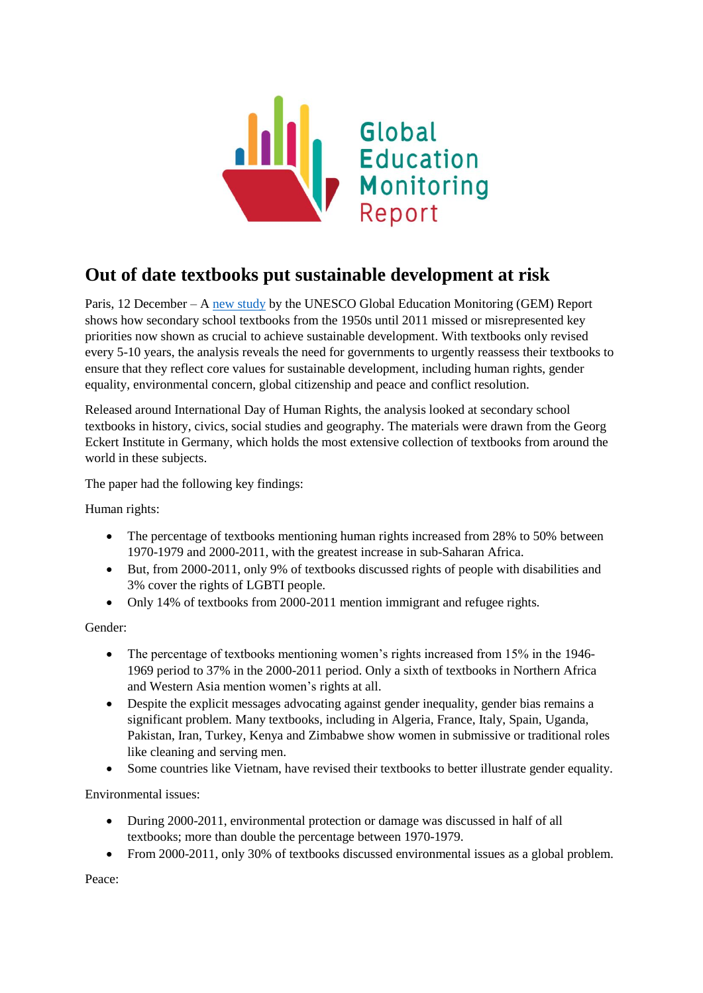

## **Out of date textbooks put sustainable development at risk**

Paris, 12 December – A [new study](http://www.bitly.com/btwthelines) by the UNESCO Global Education Monitoring (GEM) Report shows how secondary school textbooks from the 1950s until 2011 missed or misrepresented key priorities now shown as crucial to achieve sustainable development. With textbooks only revised every 5-10 years, the analysis reveals the need for governments to urgently reassess their textbooks to ensure that they reflect core values for sustainable development, including human rights, gender equality, environmental concern, global citizenship and peace and conflict resolution.

Released around International Day of Human Rights, the analysis looked at secondary school textbooks in history, civics, social studies and geography. The materials were drawn from the Georg Eckert Institute in Germany, which holds the most extensive collection of textbooks from around the world in these subjects.

The paper had the following key findings:

Human rights:

- The percentage of textbooks mentioning human rights increased from 28% to 50% between 1970-1979 and 2000-2011, with the greatest increase in sub-Saharan Africa.
- But, from 2000-2011, only 9% of textbooks discussed rights of people with disabilities and 3% cover the rights of LGBTI people.
- Only 14% of textbooks from 2000-2011 mention immigrant and refugee rights.

Gender:

- The percentage of textbooks mentioning women's rights increased from 15% in the 1946-1969 period to 37% in the 2000-2011 period. Only a sixth of textbooks in Northern Africa and Western Asia mention women's rights at all.
- Despite the explicit messages advocating against gender inequality, gender bias remains a significant problem. Many textbooks, including in Algeria, France, Italy, Spain, Uganda, Pakistan, Iran, Turkey, Kenya and Zimbabwe show women in submissive or traditional roles like cleaning and serving men.
- Some countries like Vietnam, have revised their textbooks to better illustrate gender equality.

Environmental issues:

- During 2000-2011, environmental protection or damage was discussed in half of all textbooks; more than double the percentage between 1970-1979.
- From 2000-2011, only 30% of textbooks discussed environmental issues as a global problem.

Peace: